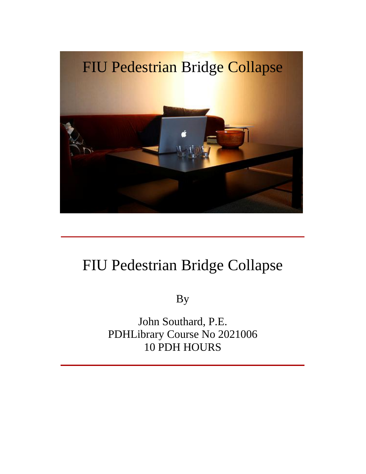

## FIU Pedestrian Bridge Collapse

By

John Southard, P.E. PDHLibrary Course No 2021006 10 PDH HOURS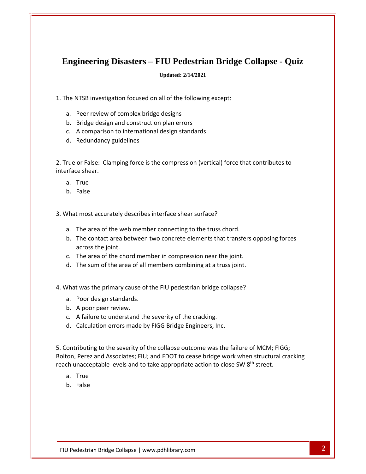## **Engineering Disasters <sup>ñ</sup> FIU Pedestrian Bridge Collapse - Quiz** Engineering Disasters – FIU Pedestrian Bridge<br>Updated: 2/14/2021<br>The NTSB investigation focused on all of the following except:  $\begin{aligned} \textbf{Engineering Disasters} & - \textbf{FIU Pedestr} \ \textbf{b} \end{aligned}$ he NTSB investigation focused on all of the follow<br>a. Peer review of complex bridge designs

**Updated: 2/14/2021**

Updated: 2/14/2021<br>
Bridge design and construction plan errors<br>
Bridge design and construction plan errors Epances 2/14/2021<br>
MTSB investigation focused on all of the following excep<br>
Peer review of complex bridge designs<br>
Bridge design and construction plan errors<br>
A comparison to international design standards

- 
- NTSB investigation focused on<br>Peer review of complex bridge<br>Bridge design and construction<br>A comparison to international<br>Redundancy guidelines a. Peer review of complex bridge designs<br>b. Bridge design and construction plan errors
- 
- 

a. Peer review of complex bridge designs<br>
b. Bridge design and construction plan errors<br>
c. A comparison to international design standards<br>
d. Redundancy guidelines<br>
True or False: Clamping force is the compression (vertic shear. The Frements<br>b. Bridge design<br>c. A comparisor<br>d. Redundancy<br>rue or False: Cla<br>rrface shear. A comparison<br>Redundancy <sub>{</sub><br>or False: Clar<br>ce shear.<br>True d. Redundancy g<br>rue or False: Clan<br>rrface shear.<br>a. True<br>b. False 2. True or False: Clamping force is the compression (vertical) force interface shear.<br>
a. True<br>
b. False<br>
3. What most accurately describes interface shear surface?

- a.
- b. False

a. True<br>b. False<br>Vhat most accurately describes interface shear surface?<br>a. The area of the web member connecting to the truss chord.

- 
- The contact area between two concrete elements that transfers opposing forces<br>The area of the web member connecting to the truss chord.<br>The contact area between two concrete elements that transfers opposing forces 3. What most accurately describes interface shear surface?<br>
a. The area of the web member connecting to the truss chord.<br>
b. The contact area between two concrete elements that trans<br>
across the joint. b. The contact area between two concrete elements that transfers opposing forces It most accurately describes interface shear surface?<br>The area of the web member connecting to the truss chord.<br>The contact area between two concrete elements that transfers op<br>across the joint.<br>The area of the chord membe b. The contact area between two concrete elements that transfers oppos<br>across the joint.<br>c. The area of the chord member in compression near the joint.<br>d. The sum of the area of all members combining at a truss joint.<br>What
	- across the joint.<br>
	c. The area of the chord mem<br>
	d. The sum of the area of all m<br>
	Vhat was the primary cause of t<br>
	a. Poor design standards. c. The area of the chord mood.<br>
	A poor peer review.<br>
	A poor design standards.<br>
	A poor peer review.
	-
- d. The sum of the area of all members combining at a truss joint.<br>
What was the primary cause of the FIU pedestrian bridge collapse?<br>
a. Poor design standards.<br>
b. A poor peer review.<br>
c. A failure to understand the severi 4. What was the primary cause of the FIU pedestrian bridge collapse?<br>
a. Poor design standards.<br>
b. A poor peer review.<br>
c. A failure to understand the severity of the cracking.<br>
d. Calculation errors made by FIGG Bridge E
	-
- $\begin{array}{c} \n\bullet \\
\bullet\n\end{array}$  $\overline{\phantom{a}}$ 
	-
	-

a. Poor design standards.<br>
b. A poor peer review.<br>
c. A failure to understand the severity of the cracking.<br>
d. Calculation errors made by FIGG Bridge Engineers, Inc.<br>
Contributing to the severity of the collapse outcome w A poor peer review.<br>A failure to understand the severity of the cracking.<br>Calculation errors made by FIGG Bridge Engineers, Inc.<br>ibuting to the severity of the collapse outcome was the failure of MCM; FIGG;<br>Perez and Assoc b. Theor peer review.<br>
c. A failure to understand the severity of the cracking.<br>
d. Calculation errors made by FIGG Bridge Engineers, Inc.<br>
contributing to the severity of the collapse outcome was the failure of MCM; FIGG, Calculation er<br>ributing to the<br>Perez and Ass<br>nacceptable l ributi<br>Pere<br>nacco<br>True<br>False

- 
-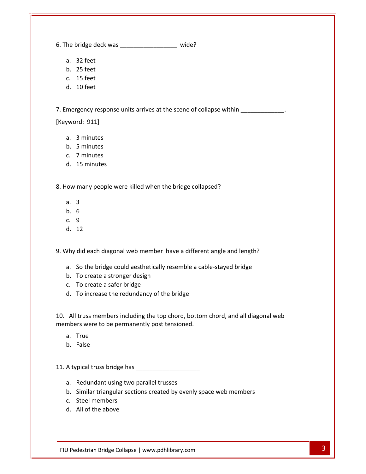The bridge deck was \_\_\_\_\_\_\_\_\_\_\_\_\_\_\_\_\_ wide? 32 feet oridge deck w<br>32 feet<br>25 feet pridge deck w<br>32 feet<br>25 feet<br>15 feet oridge deck w<br>32 feet<br>25 feet<br>15 feet<br>10 feet

b.

- 
- 
- d. 10 feet

a. 32 feet<br>
b. 25 feet<br>
c. 15 feet<br>
d. 10 feet<br>
7. Emergency response units arrives at the scene of collapse within eet<br>eet<br>cy respon:<br>911] 10 feet<br>"gency response u<br>rd: 911]<br>3 minutes rgency response t<br>rd: 911]<br>3 minutes<br>5 minutes rgency response t<br>rd: 911]<br>3 minutes<br>5 minutes<br>7 minutes m gency response ur<br>rd: 911]<br>3 minutes<br>5 minutes<br>7 minutes<br>15 minutes

- 
- a.
- $\cdot$ .
- 3 minutes<br>7 minutes<br>15 minute<br>many peo<br>3 7 minutes<br>15 minute<br>many peo<br>3<br>6 d. 15 minutes

a. 3 minutes<br>
b. 5 minutes<br>
c. 7 minutes<br>
d. 15 minutes<br>
How many people were killed when the bridge collapsed? many peo<br>
many peo<br>
3<br>
6<br>
9 many peopl<br>3<br>6<br>9<br>12

- 
- b.  $6$ <br>c.  $9$
- $\cdot$ .
- u.

a. 3<br>
b. 6<br>
c. 9<br>
d. 12<br>
Why did each diagonal web member have a different angle and length? 9<br>12<br>did each diagonal web member have a different angle and length?<br>So the bridge could aesthetically resemble a cable-stayed bridge

- <sup>9</sup><br>
did each diagonal web member have<br>
So the bridge could aesthetically rese<br>
To create a stronger design 12<br>did each diagonal web member<br>So the bridge could aesthetically<br>To create a stronger design<br>To create a safer bridge did each diagonal web member have a different a<br>So the bridge could aesthetically resemble a cable-<br>To create a stronger design<br>To create a safer bridge<br>To increase the redundancy of the bridge All truss members including the top chord, bottom chord, and all diagonal web<br>All truss members including the top chord, bottom chord, and all diagonal web a. So the bridge could aesthetically resemble a cable-stayed bridge<br>b. To create a stronger design
- 
- 
- 

were the strage search accuration, recently a.c.<br>b. To create a stronger design<br>c. To create a safer bridge<br>d. To increase the redundancy of the bridge<br>All truss members including the top chord, bottom<br>mbers were to be per To create a sa<br>To increase th<br>truss membe<br>rrs were to be<br>True d. To increase th<br>All truss member<br>mbers were to be<br>a. True<br>b. False 10. All truss members including the top chord, bottom chord<br>members were to be permanently post tensioned.<br>a. True<br>b. False<br>11. A typical truss bridge has

- a.<br>.
- b. False

True<br>False<br>pical truss bridge has<br>Redundant using two parallel trusses

- 
- Pedestrian Bridge Collapse | www.pdhlibrary.com 3 Similar triangular sections created by evenly space web members raise<br>pical truss bridge has<br>Redundant using two<br>Similar triangular secti<br>Steel members pical truss bridge<br>Redundant using t<br>Similar triangular<br>Steel members<br>All of the above
- c. Steel members
-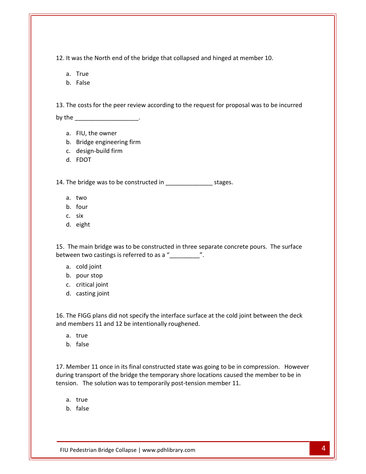It was the North end of the bridge that collapsed and hinged at member 10. as the North e<br>True as the North e<br>True<br>False  $\mathbf{1}$ It was the North end of the bridge that collapsed and hinged at member 10.<br>
a. True<br>
b. False<br>
The costs for the peer review according to the request for proposal was to be incurred

- 
- 

a. True<br>b. False<br>The costs for the peer review ac<br>the False<br>costs for the peer rev<br>FIU, the owner Bridge engineering firm design-build firm l r Costs for the p<br>
HU, the owner<br>
Bridge enginee<br>
design-build fi<br>
FDOT

- 
- 
- Bridge engine<br>design-build f<br>FDOT<br>bridge was to  $\cdot$ .
- d. FDOT

a. FIU, the owner<br>
b. Bridge engineering firm<br>
c. design-build firm<br>
d. FDOT<br>
The bridge was to be constructed in stages. design-bur<br>FDOT<br>bridge wa<br>two<br>four rbot<br>bridge wa<br>two<br>four<br>six bridge was<br>two<br>four<br>six<br>eight

- 
- a. two<br>b. four
- 
- d. eight

a. two<br>
2. four<br>
2. six<br>
The main bridge was to be constructed in three separate concrete pours. The surface the four<br>
the four<br>
c. six<br>
d. eight<br>
The main bridge was to be constructed in three separa<br>
ween two castings is referred to as a " six<br>eight<br>e main bridge w<br>n two castings i<br>cold ioint eight<br>e main bridge was to<br>in two castings is re<br>cold joint<br>pour stop e main bridge was<br>en two castings is r<br>cold joint<br>pour stop<br>critical ioint The main bridge was<br>ween two castings is re<br>a. cold joint<br>b. pour stop<br>c. critical joint<br>d. casting ioint

- 
- 
- 
- d. casting joint

a. cold joint<br>b. pour stop<br>c. critical joint<br>d. casting joint<br>The FIGG plans did not specify the interface surface at the cold joint between the deck members 11 and 12 be intentionally roughed.<br>
The FIGG plans did not specify the interface surface at<br>
members 11 and 12 be intentionally roughened. critical joint<br>casting joint<br>FIGG plans d<br>mbers 11 and<br>true casting joint<br>FIGG plans di<br>mbers 11 and<br>true<br>false 16. The FIGG plans did not specify the interface surface at the cold joint between the deck<br>and members 11 and 12 be intentionally roughened.<br>a. true<br>b. false<br>17. Member 11 once in its final constructed state was going to and members 11 and 12 be intentionally roughened.

- a. true
- 

Pedestrian Bridge Collapse | www.pdhlibrary.com 4 transport of the bridge the bridge the bridge the bridge temporary shorter the temporary shorter in the member<br>17. Member 11 once in its final constructed state was going to be in compression. However a. true<br>b. false<br>Member 11 once in its final constructed state was going to be in com<br>ing transport of the bridge the temporary shore locations caused the<br>sion. The solution was to temporarily post-tension member 11. raise<br>mber 11 once<br>transport of t<br>. The solutio<br>true mber<br>trans<br>. Th<br>true<br>false

- a. true<br>b. false
-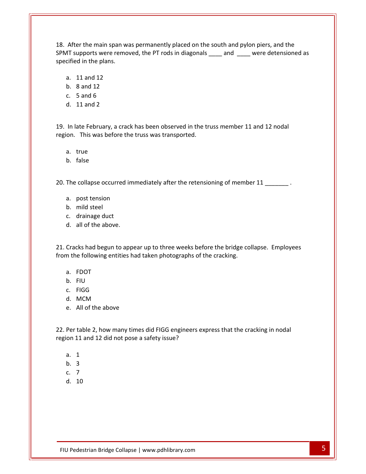After the main span was permanently placed on the south and pylon piers, and the supports were removed, the PT rods in diagonals and  $\frac{1}{2}$  were detensioned as **in the main span wear the main span wear of the plans.**<br>All supports were remordified in the plans. er the main span w<br>upports were remo<br>d in the plans.<br>11 and 12 er the main span wyports were rement<br>d in the plans.<br>11 and 12<br>8 and 12 18. After the main span was permanently placed on the south and pylon piers, and the er the main span<br>upports were rerend in the plans.<br>11 and 12<br>8 and 12<br>5 and 6 AT supports were rem<br>cified in the plans.<br>a. 11 and 12<br>b. 8 and 12<br>c. 5 and 6<br>d. 11 and 2

- a.  $11$  and  $12$ <br>b.  $8$  and  $12$
- 
- 
- d.  $11$  and  $2$

Ion 11 and 12<br>
Ion 8 and 12<br>
Ion 3 and 6<br>
Ion 11 and 2<br>
In late February, a crack has been observed in the truss member 11 and 12 nodal c. 5 and 6<br>d. 11 and 2<br>19. In late February, a crack has been observed in the truss member 11 and 12 nodal 3 and 0<br>11 and 2<br>ate February,<br>This was bet<br>true 11 and 2<br>ate February,<br>This was bef<br>true<br>false 13. The collapse occurred immediately after the retensioning of member 11 and the rollapse occurred immediately after the retensioning of member 11

- a. true
- b. false

true<br>false<br>collapse occurred imr<br>post tension false<br>false<br>collapse occu<br>post tension<br>mild steel raise<br>collapse occurred in<br>post tension<br>mild steel<br>drainage duct collapse occurred in<br>post tension<br>mild steel<br>drainage duct<br>all of the above.

- a. post tension<br>b. mild steel
- 
- 
- d. all of the above.

a. post tension<br>
b. mild steel<br>
c. drainage duct<br>
d. all of the above.<br>
Cracks had begun to appear up to three weeks before the bridge collapse. Employees the following the following the following the following change duct<br>d. all of the above.<br>Cracks had begun to appear up to three weeks before the bridge co<br>n the following entities had taken photographs of the cracking. aramage duct<br>all of the abov<br>cks had begun<br>e following en<br>FDOT an or the above<br>cks had begun t<br>le following ent<br>FDOT<br>FIU cks had begun to<br>le following entit<br>FDOT<br>FIU<br>FIGG Cracks had begun to app<br>
m the following entities h<br>
a. FDOT<br>
b. FIU<br>
c. FIGG<br>
d. MCM n the following entities had t<br>a. FDOT<br>b. FIU<br>c. FIGG<br>d. MCM<br>e. All of the above

- 
- b. FIU<br>c. FIGG
- 
- a.
- b.

b. FIU<br>c. FIGG<br>d. MCM<br>Per table 2, how many times did FIGG engineers express that the cracking in nodal 11 and 12 did not pose a safety issue?<br>
11 and 12 did not pose a safety issue? All of the a<br>
table 2, ho<br>
11 and 12 An of the  $\alpha$ <br>table 2, ho<br>11 and 12  $\alpha$ <br>1 table 2, ho<br>11 and 12 (<br>1<br>3 Pe tal<br>11<br>1<br>3<br>7<br>10

- 
- 
- 
- $d. 10$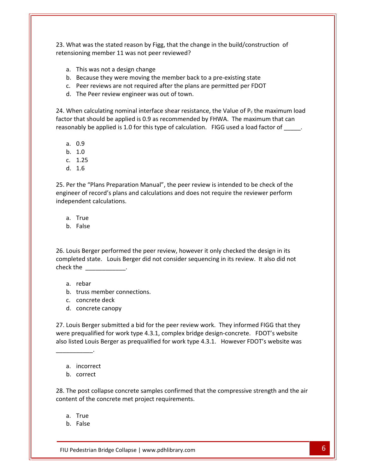What was the stated reason by Figg, that the change in the build/construction of member 11 was not peer reviewed? at was the stated reason by Figg, that<br>toning member 11 was not peer review<br>This was not a design change at was the stated reason by Figg, that the change in the build/construction coning member 11 was not peer reviewed?<br>This was not a design change<br>Because they were moving the member back to a pre-existing state at was the stated reason by Figg, that the change in the build/construction of<br>Doning member 11 was not peer reviewed?<br>This was not a design change<br>Because they were moving the member back to a pre-existing state<br>Peer revi 23. What was the stated reason by Figg, that the chang<br>retensioning member 11 was not peer reviewed?<br>a. This was not a design change<br>b. Because they were moving the member back to<br>c. Peer reviews are not required after the retensioning member 11 was not peer reviewed?<br>
a. This was not a design change<br>
b. Because they were moving the member back to a pre-existing state<br>
c. Peer reviews are not required after the plans are permitted per FDOT<br>

- a. This was not a design change
- b. Because they were moving the member back to a pre-existing state
- 
- b.

te<br>DOT<br>the maximum load This was not a design change<br>Because they were moving the member back to a pre-existing state<br>Peer reviews are not required after the plans are permitted per FDOT<br>The Peer review engineer was out of town.<br>nen calculating b. Because they were moving the member back to a pre-existing state<br>
c. Peer reviews are not required after the plans are permitted per FDOT<br>
d. The Peer review engineer was out of town.<br>
When calculating nominal interfac The Peer rev<br>en calculatin<br>hat should b<br>ably be appli<br>0.9 en calculatin<br>hat should b<br>ably be appli<br>0.9<br>1.0 When calculating<br>or that should be<br>sonably be applie<br>a. 0.9<br>b. 1.0<br>c. 1.25 factor that should be applied is 0.9 as recommended by FHWA. The maximum that can 1.6 25.

a.  $0.9$ 

a.

- $b. 1.0$
- 
- d. 1.6

a.  $0.9$ <br>b.  $1.0$ <br>c.  $1.25$ <br>d.  $1.6$ <br>Per the "Plans Preparation Manual", the peer review is intended to be check of the 9<br>0<br>25<br>e "Plans Preparation Manual", the peer review is intended to be check of the<br>of record's plans and calculations and does not require the reviewer perform b. 1.0<br>
c. 1.25<br>
d. 1.6<br>
Per the "Plans Preparation<br>
ineer of record's plans and<br>
ependent calculations. 1.6<br>the "Plans Pre<br>er of record's<br>ndent calculat<br>True the "Plans Pre<br>Par of record's present<br>State Calculating<br>True<br>False engineer of record's plans and calculations and does not require the reviewer perform independent calculations. Expendent calculations.<br>
a. True<br>
Louis Berger performed the peer review, however it only checked the design in its completed

- a. True
- 

e<br>e<br>erger performed the peer review, however it only checked the design in its<br>state. Louis Berger did not consider sequencing in its review. It also did not a. True<br>b. False<br>Louis Berger performed the<br>ppleted state. Louis Berger<br>ck the is Berger pe<br>ted state.<br>he<br>rebar truss member connections. c.is Berger performed th<br>ted state. Louis Berge<br>he<br>rebar<br>truss member connect<br>concrete deck d. concrete canopy 27.

- a. rebar
- b. truss member connections.
- 
- 

a. rebar<br>
a. rebar<br>
c. concrete deck<br>
d. concrete canopy<br>
Louis Berger submitted a bid for the peer review work. They informed FIGG that they rebar<br>
truss member connections.<br>
concrete deck<br>
concrete canopy<br>
puis Berger submitted a bid for the peer review work. They informed FIGG that they<br>
prequalified for work type 4.3.1, complex bridge design-concrete. FDOT's disted Louis Berger as prequalified for the peer review work.<br>
1991 They informed FIGG that they<br>
1992. Louis Berger submitted a bid for the peer review work. They informed FIGG that they<br>
1992. Louis Berger as prequalifie Louis Berger submine<br>
incorrect prequalified for v<br>
isted Louis Berger<br>
a. incorrect Louis Berger suble<br>
interprequalified for<br>
interprese louis Berg<br>
and incorrect<br>
interprese louis Correct<br>
correct ۔<br>عاد The post collapse concrete samples confirmed that the compressive strength and the air<br>The post collapse concrete samples confirmed that the compressive strength and the air content

a. incorrect<br>b. correct

content of the concrete met project requirements. he post collapse concrete samples confirmed that the compressive strength and the air<br>ent of the concrete met project requirements.<br>True<br>False<br>Pedestrian Bridge Collapse | www.pdhlibrary.com of the concreted b. correct<br>
a. incorrect<br>
b. correct<br>
The post collapse concrete samples confirmed that<br>
tent of the concrete met project requirements. incorrect<br>correct<br>post collapse<br>t of the concre<br>True corre<br>post<br>t of th<br>True<br>False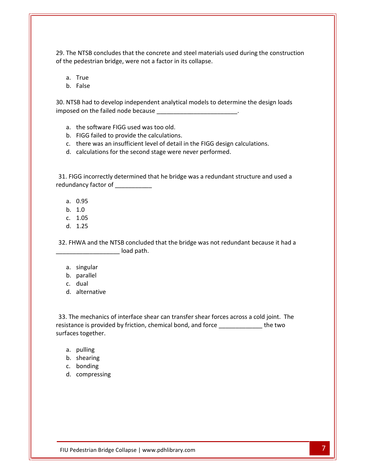The NTSB concludes that the concrete and steel materials used during the construction The NTSB concludes that the concrete and steel materials<br>the pedestrian bridge, were not a factor in its collapse. NTSB concluder<br>Dedestrian bries<br>True NTSB conclud<br>Pedestrian bric<br>True<br>False <sub>ጋዐ</sub> The NTSB concludes that the concrete and steel materials used during the construction<br>he pedestrian bridge, were not a factor in its collapse.<br>a. True<br>b. False<br>NTSB had to develop independent analytical models to determine  $\overline{\mathsf{of}}$  the ne

The pedestrian bridge, were not a factor in its collapse.<br>
a. True<br>
b. False<br>
NTSB had to develop independent analytical models to determine thosed on the failed node because the software FIGG used was too old. b.b. False<br>NTSB had to develop independent analytical metals<br>osed on the failed node because<br>a. the software FIGG used was too old.<br>b. FIGG failed to provide the calculations. THERE TANKS<br>
THERE AND A TO ALTT AND MUST A THERE ARE ASSEMBLED AS A SERVID OSED on the failed node because<br>
The software FIGG used was too old.<br>
There was an insufficient level of detail in the FIGG design calculations.<br> ET and to develop independent analytical models to determind<br>
d on the failed node because<br>
the software FIGG used was too old.<br>
FIGG failed to provide the calculations.<br>
there was an insufficient level of detail in the FI

- a. the software FIGG used was too old.
- 
- FIGG failed to provide the calculations.<br>FIGG failed to provide the calculations.<br>There was an insufficient level of detail in the FIGG design calculations.<br>I. calculations for the second stage were never performed.<br>FIGG i
- b.

b. FIGG failed to provide the calculation<br>c. there was an insufficient level of det.<br>d. calculations for the second stage were.<br>31. FIGG incorrectly determined that he bri<br>redundancy factor of d. calculations for<br>FIGG incorrectly<br>undancy factor of<br>a. 0.95 ication<br>1.00 incorrectl<br>1.00095<br>1.0 G incorrectly<br>ancy factor of<br>0.95<br>1.0<br>1.05 FIGG incorrectly<br>undancy factor of<br>a. 0.95<br>b. 1.0<br>c. 1.05<br>d. 1.25 redundancy factor of \_\_\_\_\_\_\_\_\_\_\_

- 
- 
- c. 1.05<br>d. 1.25
- 

a.  $0.95$ <br>b.  $1.0$ <br>d.  $1.25$ <br>32. FHWA and the NTSB concluded that the bridge was not redundant because it had a a. 0.95<br>
b. 1.0<br>
c. 1.05<br>
d. 1.25<br>
FHWA and the NTSB concluded th 1.05<br>1.25<br>WA and the N<br><br>singular parallel WA and<br>singular<br>parallel<br>dual FHWA and the NTSB co.<br>
a. singular load<br>
b. parallel<br>
c. dual<br>
d. alternative

- a. singular
- b. parallel
- c. dual
- 

. singular<br>. parallel<br>. dual<br>. alternative<br>The mechanics of interface shear can transfer shear forces across a cold joint. The allel<br>il<br>echanics of interface shear can transfer shear forces across a cold joint. The<br>is provided by friction, chemical bond, and force the two c. dual<br>d. alternative<br>The mechanics of<br>stance is provided laces together. e mechanics of<br>the is provided l<br>s together.<br>pulling e mechanics of in<br>nce is provided by<br>s together.<br>pulling<br>shearing The mechanics of in<br>stance is provided by<br>faces together.<br>a. pulling<br>b. shearing<br>c. bonding stance is provide<br>
iaces together.<br>
a. pulling<br>
b. shearing<br>
c. bonding<br>
d. compressing

- 
- 
- 
-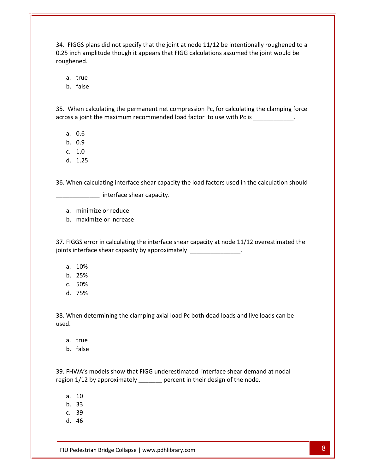FIGGS plans did not specify that the joint at node 11/12 be intentionally roughened to <sup>a</sup> inch amplitude though it appears that FIGG calculations assumed the joint would be<br>inch amplitude though it appears that FIGG calculations assumed the joint would be FIGGS plans did<br>
5 inch amplitude<br>
ghened.<br>
a. true GS plans did r<br>ch amplitude t<br>ned.<br>true<br>false 0.25 inch amplitude though it appears that FIGG calculations assumed the joint would be Merital amplitude though it appears that i idd calculations assumed the joint would be<br>thened.<br>When calculating the permanent net compression Pc. for calculating the clamping force roughened.

b.

a. true<br>b. false<br>When calculating the permanent net compression Pc, for calculating the clamping force<br>pss a ioint the maximum recommended load factor to use with Pc is false<br>false<br>en calculatir<br>a joint the m<br>0.6 raise<br>ien calculatir<br>a joint the m<br>0.6<br>0.9 ien calculatir<br>a joint the m<br>0.6<br>0.9<br>1.0 d.nen calculating<br>a joint the ma<br>0.6<br>0.9<br>1.0<br>1.25

- 
- b. 0.9
- 
- 

joints

a. 0.6<br>b. 0.9<br>c. 1.0<br>When calculating interface shear capacity the load factors used in the calculation should c. 1.0<br>d. 1.25<br>36. When calculating interface shear capacity the load factors used in the calculation should 1.25<br>en calculating interface shea<br>\_\_\_\_\_\_\_\_\_\_\_ interface shear cap<br>minimize or reduce en calculating interface shear<br>
<u>
minimize</u> or reduce<br>
maximize or increase

- 
- b. maximize or increase

FIGGS error in calculating the interface shear capacity.<br>FIGGS error in calculating the interface shear capacity at node 11/12 overestimated the interface shear capacity.<br>
a. minimize or reduce<br>
b. maximize or increase<br>
FIGGS error in calculating the interface shear capacity at node 11/12<br>
ts interface shear capacity by approximately minimize or read<br>maximize or incre<br>GS error in calcula<br>tterface shear cap<br>10% maximze or incre<br>GS error in calcula<br>iterface shear cap<br>10%<br>25% GS error in calcula<br>iterface shear cap<br>10%<br>25% FIGGS error in calculats interface shear cap<br>a. 10%<br>b. 25%<br>c. 50%<br>d. 75%

- a. 10%<br>b. 25%
- 
- 
- b.

a. 10%<br>b. 25%<br>c. 50%<br>When determining the clamping axial load Pc both dead loads and live loads can be c. 50<br>d. 75<br>When<br>d. 75%<br>75%<br>en determinir<br>true 1378<br>en determinin<br>true<br>false 39.FHWA's models show that FIGG underestimated interface shear demand at nodal<br>FHWA's models show that FIGG underestimated interface shear demand at nodal used.

- 
- b.

u.<br>a. true<br>b. false<br>FHWA's models show that FIGG underestimated interface shear demand at<br>on 1/12 by approximately arecent in their design of the node. tiue<br>false<br>VA's models<br>1/12 by app<br>10 raise<br>VA's models<br>1/12 by app<br>10<br>33 VA's models<br>1/12 by app<br>10<br>33 d.VA<br>1/1<br>10<br>33<br>39<br>46

- 
- $b.33$
- 
-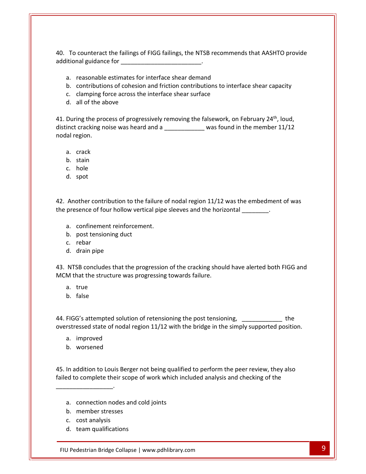To counteract the failings of FIGG failings, the NTSB recommends that AASHTO provide and an anti-connect the failings of FIGG failings, the NTSB required<br>itional guidance for counteract the failings of FIGG failings, the NTSB recomme<br>
reasonable estimates for interface shear demand contributions of cohesion and friction contributions to interface shear capacity counteract the failings of FIGG failings, the NTSB recommentional guidance for<br>
reasonable estimates for interface shear demand<br>
contributions of cohesion and friction contributions to interface shear surface d.counteract the failings on al guidance for<br>
reasonable estimates for<br>
reasonable estimates for<br>
contributions of cohesio<br>
clamping force across th<br>
all of the above 41.

- 
- a. reasonable estimates for interface shear demand<br>b. contributions of cohesion and friction contributions to interface shear capacity<br>c. clamping force across the interface shear surface<br>d. all of the above<br>During the pro the contributions of cohesion and friction contributions to interface shear can a. reasonable estimates for interface shear demand<br>b. contributions of cohesion and friction contributions to interface shear capacity<br>c. clamping force across the interface shear surface<br>d. all of the above<br>41. During th
	-
	- b.

During the process of progressively removing the falsework, on Eebruary 24<sup>th</sup> loud reasonable estimates for interface shear demand<br>contributions of cohesion and friction contributions to interface shear capacity<br>clamping force across the interface shear surface<br>all of the above<br>and in the member 11/12<br>cr b. contribution.<br>
c. clamping f<br>
d. all of the a.<br>
During the provinct cracking not<br>
dal region. all of the abort<br>ing the proces<br>cracking nois<br>egion. ing the proces<br>cracking noise<br>egion.<br>crack<br>stain ing the proce:<br>cracking nois<br>egion.<br>crack<br>stain<br>hole Fannig and proton<br>inct cracking n<br>al region.<br>a. crack<br>b. stain<br>c. hole<br>d. spot

- 
- 
- 
- 

A. crack<br>
A. stain<br>
A. spot<br>
Another contribution to the failure of nodal region 11/12 was the embedment of was b. stain<br>
c. hole<br>
d. spot<br>
Another contribution to the failure of nodal region 11/12 was the embedment<br>
presence of four hollow vertical pipe sleeves and the horizontal d. spot<br>Another contribution to the failure confinement reinforcement. The contribution to the fast<br>sence of four hollow vertic<br>confinement reinforcemer<br>post tensioning duct other contril<br>sence of fou<br>confinemen<br>post tensior<br>rebar Another contribution to<br>presence of four hollow<br>a. confinement reinfo<br>b. post tensioning duo<br>c. rebar<br>d. drain pipe the presence of four hollow vertical pipe sleeves and the horizontal \_\_\_\_\_\_\_\_.

- a. confinement reinforcement.
- 
- c. rebar
- 

a. confinement reinforcement.<br>
a. post tensioning duct<br>
c. rebar<br>
A drain pipe<br>
NTSB concludes that the progression of the cracking should have alerted both FIGG and a. confinement reinforcement.<br>
b. post tensioning duct<br>
c. rebar<br>
d. drain pipe<br>
NTSB concludes that the progression of the cracking shou<br>
M that the structure was progressing towards failure. post tensioni<br>rebar<br>drain pipe<br>SB concludes<br>nat the struct<br>true rebar<br>drain pipe<br>SB concludes †<br>nat the structu<br>true<br>false 43. NTSB concludes that the progression of the cracking should have alerted both FIGG and<br>MCM that the structure was progressing towards failure.<br>
a. true<br>
b. false<br>
44. FIGG's attempted solution of retensioning the post t MCM that the structure was progressing towards failure.

- 
- b.

M that the structure was progressing towards failure.<br>
a. true<br>
b. false<br>
FIGG's attempted solution of retensioning the post tensioning, \_\_\_\_\_\_\_\_\_\_\_\_\_\_\_\_ the<br>
rstressed state of nodal region 11/12 with the bridge in the si true<br>false<br>G's attempted solut<br>essed state of noda<br>improved false<br>G's attempted solut<br>essed state of noda<br>improved<br>worsened 44. FIGG's attempted solution of retensioning the post tensioning, \_\_\_\_\_\_\_\_\_\_\_\_\_ the<br>overstressed state of nodal region 11/12 with the bridge in the simply supported position.<br>a. improved<br>b. worsened<br>45. In addition to Lou

- 
- 

overstressed state of nodal region 11/12 with the bridge in the simply supported position.<br>
a. improved<br>
b. worsened<br>
45. In addition to Louis Berger not being qualified to perform the peer review, they also<br>
failed to com a. connection nodes and cold joints ddition to Louis Berger<br>
member their scope of complete their scope<br>
connection nodes and complete stresses In ddition to Louis Bert<br>
do complete their scomplete their scomplete<br>
connection nodes a<br>
member stresses<br>
cost analysis failed to complete their scope of work which included analysis and checking of the team qualifications

- $\tilde{c}$ Frame Connection nodes and cold joints<br>
Pedestrian Bridge Collapse | www.pdhlibrary.com 9
	-
	-
	-